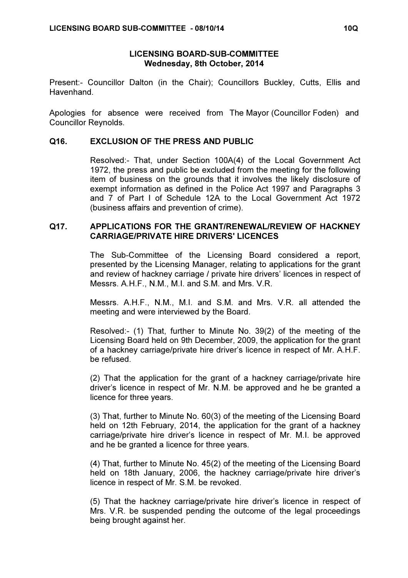## LICENSING BOARD-SUB-COMMITTEE Wednesday, 8th October, 2014

Present:- Councillor Dalton (in the Chair); Councillors Buckley, Cutts, Ellis and Havenhand.

Apologies for absence were received from The Mayor (Councillor Foden) and Councillor Reynolds.

## Q16. EXCLUSION OF THE PRESS AND PUBLIC

 Resolved:- That, under Section 100A(4) of the Local Government Act 1972, the press and public be excluded from the meeting for the following item of business on the grounds that it involves the likely disclosure of exempt information as defined in the Police Act 1997 and Paragraphs 3 and 7 of Part I of Schedule 12A to the Local Government Act 1972 (business affairs and prevention of crime).

## Q17. APPLICATIONS FOR THE GRANT/RENEWAL/REVIEW OF HACKNEY CARRIAGE/PRIVATE HIRE DRIVERS' LICENCES

 The Sub-Committee of the Licensing Board considered a report, presented by the Licensing Manager, relating to applications for the grant and review of hackney carriage / private hire drivers' licences in respect of Messrs. A.H.F., N.M., M.I. and S.M. and Mrs. V.R.

Messrs. A.H.F., N.M., M.I. and S.M. and Mrs. V.R. all attended the meeting and were interviewed by the Board.

Resolved:- (1) That, further to Minute No. 39(2) of the meeting of the Licensing Board held on 9th December, 2009, the application for the grant of a hackney carriage/private hire driver's licence in respect of Mr. A.H.F. be refused.

(2) That the application for the grant of a hackney carriage/private hire driver's licence in respect of Mr. N.M. be approved and he be granted a licence for three years.

(3) That, further to Minute No. 60(3) of the meeting of the Licensing Board held on 12th February, 2014, the application for the grant of a hackney carriage/private hire driver's licence in respect of Mr. M.I. be approved and he be granted a licence for three years.

(4) That, further to Minute No. 45(2) of the meeting of the Licensing Board held on 18th January, 2006, the hackney carriage/private hire driver's licence in respect of Mr. S.M. be revoked.

(5) That the hackney carriage/private hire driver's licence in respect of Mrs. V.R. be suspended pending the outcome of the legal proceedings being brought against her.